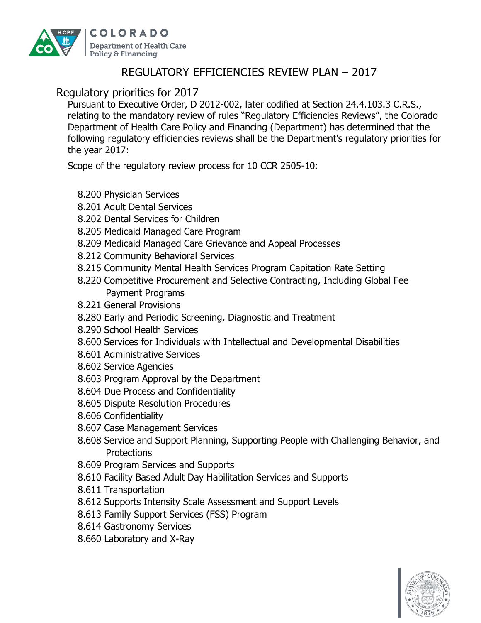

## REGULATORY EFFICIENCIES REVIEW PLAN – 2017

## Regulatory priorities for 2017

Pursuant to Executive Order, D 2012-002, later codified at Section 24.4.103.3 C.R.S., relating to the mandatory review of rules "Regulatory Efficiencies Reviews", the Colorado Department of Health Care Policy and Financing (Department) has determined that the following regulatory efficiencies reviews shall be the Department's regulatory priorities for the year 2017:

Scope of the regulatory review process for 10 CCR 2505-10:

- 8.200 Physician Services
- 8.201 Adult Dental Services
- 8.202 Dental Services for Children
- 8.205 Medicaid Managed Care Program
- 8.209 Medicaid Managed Care Grievance and Appeal Processes
- 8.212 Community Behavioral Services
- 8.215 Community Mental Health Services Program Capitation Rate Setting
- 8.220 Competitive Procurement and Selective Contracting, Including Global Fee Payment Programs
- 8.221 General Provisions
- 8.280 Early and Periodic Screening, Diagnostic and Treatment
- 8.290 School Health Services
- 8.600 Services for Individuals with Intellectual and Developmental Disabilities
- 8.601 Administrative Services
- 8.602 Service Agencies
- 8.603 Program Approval by the Department
- 8.604 Due Process and Confidentiality
- 8.605 Dispute Resolution Procedures
- 8.606 Confidentiality
- 8.607 Case Management Services
- 8.608 Service and Support Planning, Supporting People with Challenging Behavior, and **Protections**
- 8.609 Program Services and Supports
- 8.610 Facility Based Adult Day Habilitation Services and Supports
- 8.611 Transportation
- 8.612 Supports Intensity Scale Assessment and Support Levels
- 8.613 Family Support Services (FSS) Program
- 8.614 Gastronomy Services
- 8.660 Laboratory and X-Ray